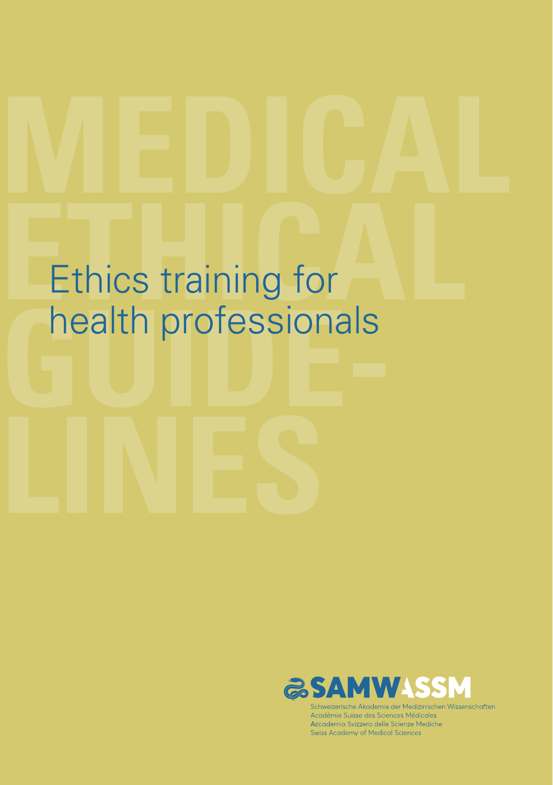# Ethics training for<br> **Ethics training for Guide Additionals** Ethics training for



Schweizerische Akademie der Medizinischen Wissenschaften Académie Suisse des Sciences Médicales Accademia Svizzera delle Scienze Mediche Swiss Academy of Medical Sciences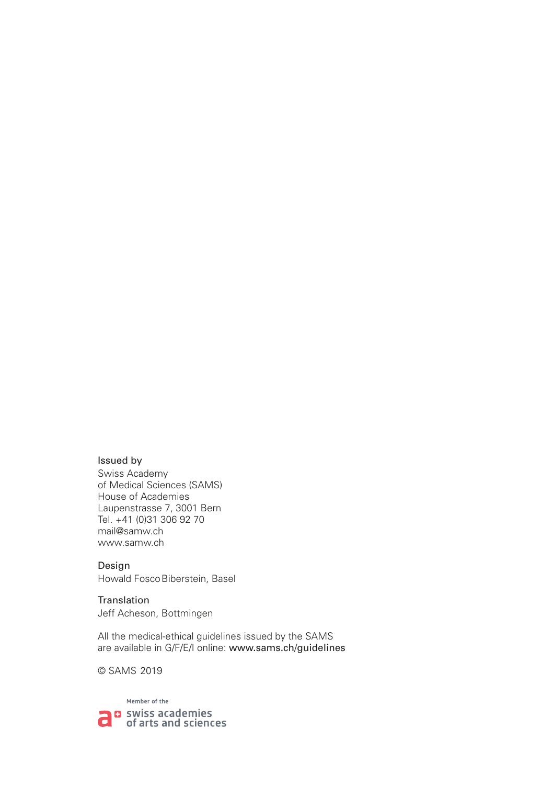#### Issued by

Swiss Academy of Medical Sciences (SAMS) House of Academies Laupenstrasse 7, 3001 Bern Tel. +41 (0)31 306 92 70 mail@samw.ch www.samw.ch

Design Howald FoscoBiberstein, Basel

Translation Jeff Acheson, Bottmingen

All the medical-ethical guidelines issued by the SAMS are available in G/F/E/I online: www.sams.ch/guidelines

© SAMS 2019

Member of the **D** swiss academies а of arts and sciences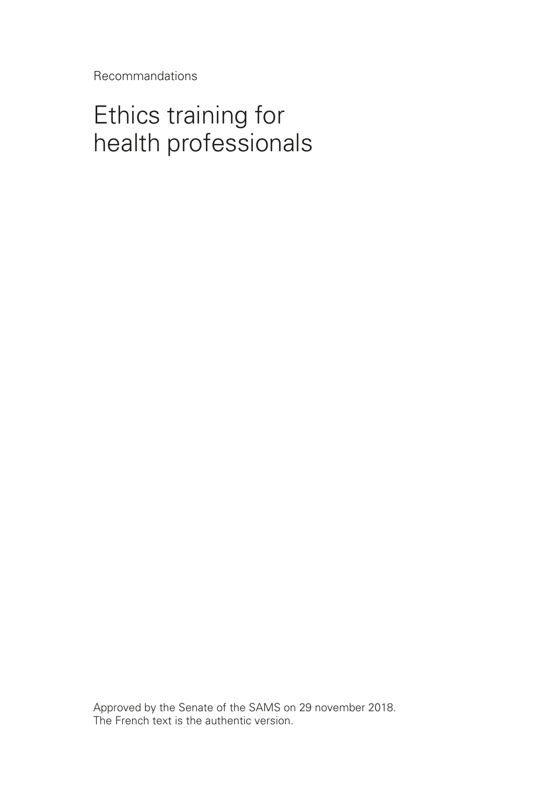Recommandations

# Ethics training for health professionals

Approved by the Senate of the SAMS on 29 november 2018. The French text is the authentic version.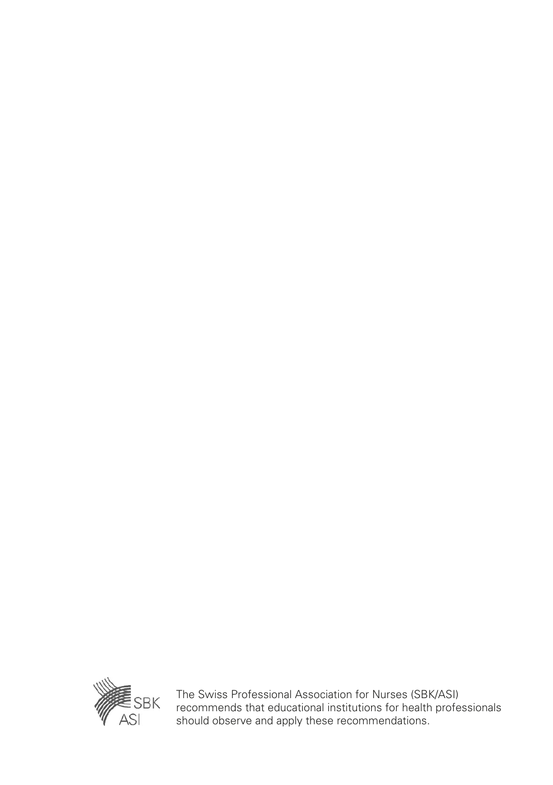

The Swiss Professional Association for Nurses (SBK/ASI) recommends that educational institutions for health professionals should observe and apply these recommendations.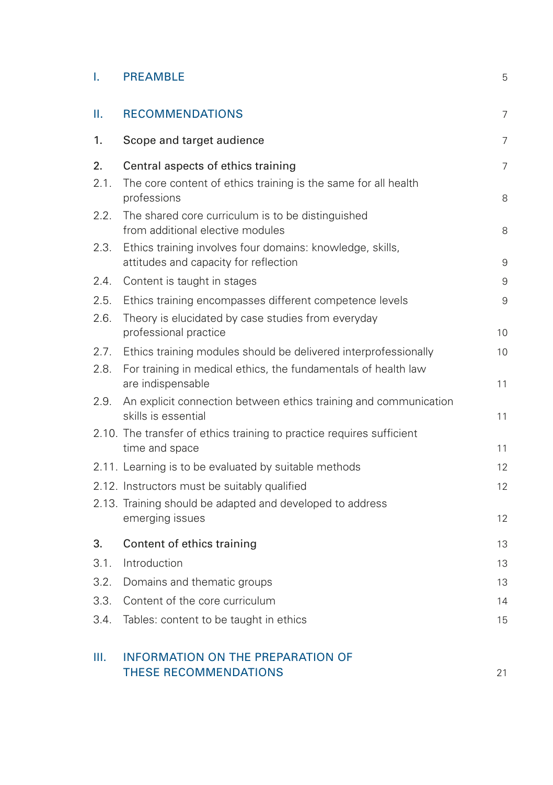| <b>PREAMBLE</b> |  |
|-----------------|--|
|-----------------|--|

| Ш.   | <b>RECOMMENDATIONS</b>                                                                             | 7              |
|------|----------------------------------------------------------------------------------------------------|----------------|
| 1.   | Scope and target audience                                                                          | 7              |
| 2.   | Central aspects of ethics training                                                                 | $\overline{7}$ |
| 2.1. | The core content of ethics training is the same for all health<br>professions                      | 8              |
| 2.2. | The shared core curriculum is to be distinguished<br>from additional elective modules              | 8              |
| 2.3. | Ethics training involves four domains: knowledge, skills,<br>attitudes and capacity for reflection | 9              |
| 2.4. | Content is taught in stages                                                                        | 9              |
| 2.5. | Ethics training encompasses different competence levels                                            | 9              |
| 2.6. | Theory is elucidated by case studies from everyday<br>professional practice                        | 10             |
| 2.7. | Ethics training modules should be delivered interprofessionally                                    | 10             |
| 2.8. | For training in medical ethics, the fundamentals of health law<br>are indispensable                | 11             |
| 2.9. | An explicit connection between ethics training and communication<br>skills is essential            | 11             |
|      | 2.10. The transfer of ethics training to practice requires sufficient<br>time and space            | 11             |
|      | 2.11. Learning is to be evaluated by suitable methods                                              | 12             |
|      | 2.12. Instructors must be suitably qualified                                                       | 12             |
|      | 2.13. Training should be adapted and developed to address<br>emerging issues                       | 12             |
| 3.   | Content of ethics training                                                                         | 13             |
| 3.1. | Introduction                                                                                       | 13             |
| 3.2. | Domains and thematic groups                                                                        | 13             |
| 3.3. | Content of the core curriculum                                                                     | 14             |
| 3.4. | Tables: content to be taught in ethics                                                             | 15             |
| Ш.   | <b>INFORMATION ON THE PREPARATION OF</b><br>THESE RECOMMENDATIONS                                  | 21             |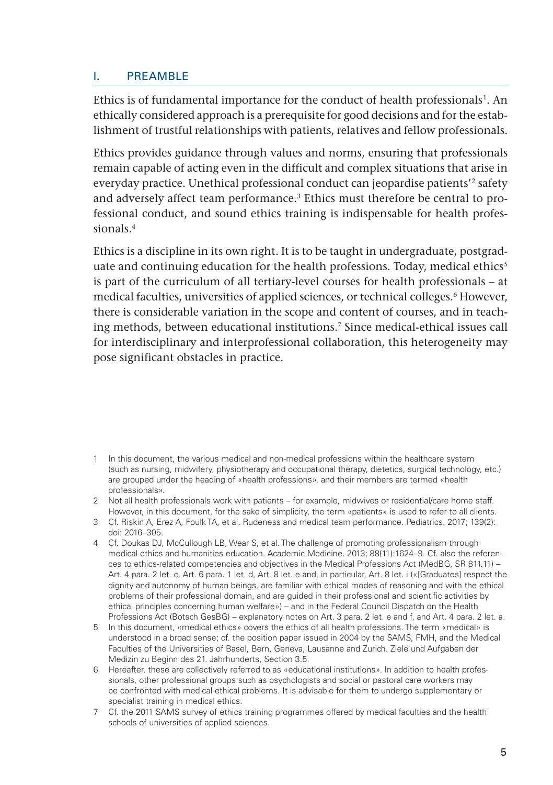#### <span id="page-6-0"></span>I. PREAMBLE

Ethics is of fundamental importance for the conduct of health professionals<sup>1</sup>. An ethically considered approach is a prerequisite for good decisions and for the establishment of trustful relationships with patients, relatives and fellow professionals.

Ethics provides guidance through values and norms, ensuring that professionals remain capable of acting even in the difficult and complex situations that arise in everyday practice. Unethical professional conduct can jeopardise patients'2 safety and adversely affect team performance.3 Ethics must therefore be central to professional conduct, and sound ethics training is indispensable for health professionals.4

Ethics is a discipline in its own right. It is to be taught in undergraduate, postgraduate and continuing education for the health professions. Today, medical ethics<sup>5</sup> is part of the curriculum of all tertiary-level courses for health professionals – at medical faculties, universities of applied sciences, or technical colleges.<sup>6</sup> However, there is considerable variation in the scope and content of courses, and in teaching methods, between educational institutions.<sup>7</sup> Since medical-ethical issues call for interdisciplinary and interprofessional collaboration, this heterogeneity may pose significant obstacles in practice.

- 1 In this document, the various medical and non-medical professions within the healthcare system (such as nursing, midwifery, physiotherapy and occupational therapy, dietetics, surgical technology, etc.) are grouped under the heading of «health professions», and their members are termed «health professionals».
- 2 Not all health professionals work with patients for example, midwives or residential/care home staff. However, in this document, for the sake of simplicity, the term «patients» is used to refer to all clients.
- 3 Cf. Riskin A, Erez A, Foulk TA, et al. Rudeness and medical team performance. Pediatrics. 2017; 139(2): doi: 2016–305.
- 4 Cf. Doukas DJ, McCullough LB, Wear S, et al. The challenge of promoting professionalism through medical ethics and humanities education. Academic Medicine. 2013; 88(11):1624–9. Cf. also the references to ethics-related competencies and objectives in the Medical Professions Act (MedBG, SR 811.11) – Art. 4 para. 2 let. c, Art. 6 para. 1 let. d, Art. 8 let. e and, in particular, Art. 8 let. i («[Graduates] respect the dignity and autonomy of human beings, are familiar with ethical modes of reasoning and with the ethical problems of their professional domain, and are guided in their professional and scientific activities by ethical principles concerning human welfare») – and in the Federal Council Dispatch on the Health Professions Act (Botsch GesBG) – explanatory notes on Art. 3 para. 2 let. e and f, and Art. 4 para. 2 let. a.
- 5 In this document, «medical ethics» covers the ethics of all health professions. The term «medical» is understood in a broad sense; cf. the position paper issued in 2004 by the SAMS, FMH, and the Medical Faculties of the Universities of Basel, Bern, Geneva, Lausanne and Zurich. Ziele und Aufgaben der Medizin zu Beginn des 21. Jahrhunderts, Section 3.5.
- 6 Hereafter, these are collectively referred to as «educational institutions». In addition to health professionals, other professional groups such as psychologists and social or pastoral care workers may be confronted with medical-ethical problems. It is advisable for them to undergo supplementary or specialist training in medical ethics.
- 7 Cf. the 2011 SAMS survey of ethics training programmes offered by medical faculties and the health schools of universities of applied sciences.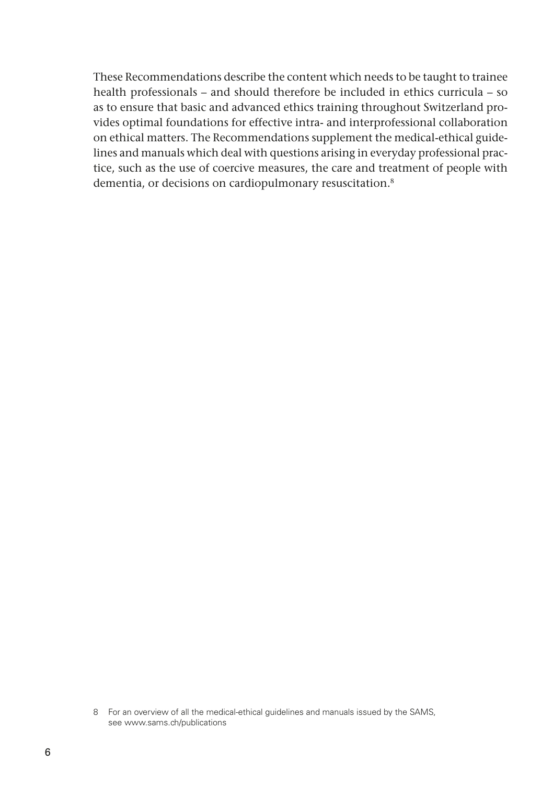These Recommendations describe the content which needs to be taught to trainee health professionals – and should therefore be included in ethics curricula – so as to ensure that basic and advanced ethics training throughout Switzerland provides optimal foundations for effective intra- and interprofessional collaboration on ethical matters. The Recommendations supplement the medical-ethical guidelines and manuals which deal with questions arising in everyday professional practice, such as the use of coercive measures, the care and treatment of people with dementia, or decisions on cardiopulmonary resuscitation.8

<sup>8</sup> For an overview of all the medical-ethical guidelines and manuals issued by the SAMS, see www.sams.ch/publications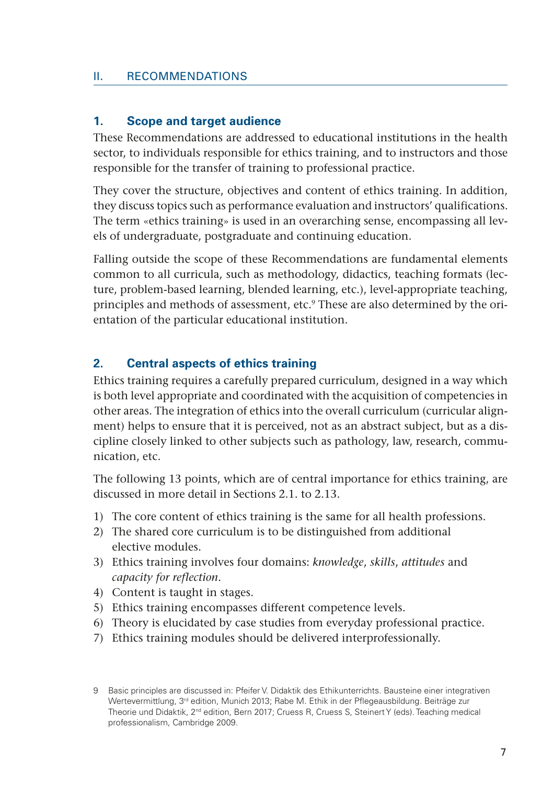#### <span id="page-8-0"></span>II. RECOMMENDATIONS

#### **1. Scope and target audience**

These Recommendations are addressed to educational institutions in the health sector, to individuals responsible for ethics training, and to instructors and those responsible for the transfer of training to professional practice.

They cover the structure, objectives and content of ethics training. In addition, they discuss topics such as performance evaluation and instructors' qualifications. The term «ethics training» is used in an overarching sense, encompassing all levels of undergraduate, postgraduate and continuing education.

Falling outside the scope of these Recommendations are fundamental elements common to all curricula, such as methodology, didactics, teaching formats (lecture, problem-based learning, blended learning, etc.), level-appropriate teaching, principles and methods of assessment, etc.9 These are also determined by the orientation of the particular educational institution.

#### **2. Central aspects of ethics training**

Ethics training requires a carefully prepared curriculum, designed in a way which is both level appropriate and coordinated with the acquisition of competencies in other areas. The integration of ethics into the overall curriculum (curricular alignment) helps to ensure that it is perceived, not as an abstract subject, but as a discipline closely linked to other subjects such as pathology, law, research, communication, etc.

The following 13 points, which are of central importance for ethics training, are discussed in more detail in Sections 2.1. to 2.13.

- 1) The core content of ethics training is the same for all health professions.
- 2) The shared core curriculum is to be distinguished from additional elective modules.
- 3) Ethics training involves four domains: *knowledge*, *skills*, *attitudes* and *capacity for reflection*.
- 4) Content is taught in stages.
- 5) Ethics training encompasses different competence levels.
- 6) Theory is elucidated by case studies from everyday professional practice.
- 7) Ethics training modules should be delivered interprofessionally.

<sup>9</sup> Basic principles are discussed in: Pfeifer V. Didaktik des Ethikunterrichts. Bausteine einer integrativen Wertevermittlung, 3<sup>rd</sup> edition, Munich 2013; Rabe M. Ethik in der Pflegeausbildung. Beiträge zur Theorie und Didaktik, 2nd edition, Bern 2017; Cruess R, Cruess S, Steinert Y (eds). Teaching medical professionalism, Cambridge 2009.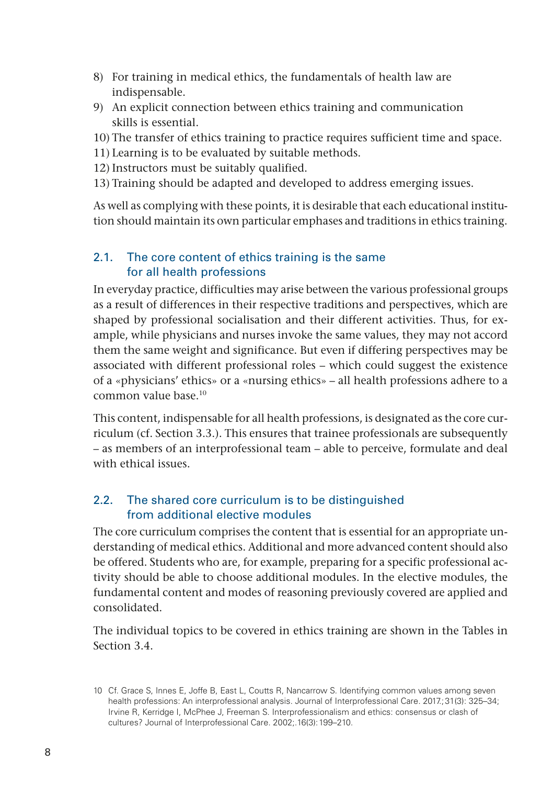- <span id="page-9-0"></span>8) For training in medical ethics, the fundamentals of health law are indispensable.
- 9) An explicit connection between ethics training and communication skills is essential.

10) The transfer of ethics training to practice requires sufficient time and space.

- 11) Learning is to be evaluated by suitable methods.
- 12) Instructors must be suitably qualified.
- 13) Training should be adapted and developed to address emerging issues.

As well as complying with these points, it is desirable that each educational institution should maintain its own particular emphases and traditions in ethics training.

### 2.1. The core content of ethics training is the same for all health professions

In everyday practice, difficulties may arise between the various professional groups as a result of differences in their respective traditions and perspectives, which are shaped by professional socialisation and their different activities. Thus, for example, while physicians and nurses invoke the same values, they may not accord them the same weight and significance. But even if differing perspectives may be associated with different professional roles – which could suggest the existence of a «physicians' ethics» or a «nursing ethics» – all health professions adhere to a common value base.10

This content, indispensable for all health professions, is designated as the core curriculum (cf. Section 3.3.). This ensures that trainee professionals are subsequently – as members of an interprofessional team – able to perceive, formulate and deal with ethical issues.

# 2.2. The shared core curriculum is to be distinguished from additional elective modules

The core curriculum comprises the content that is essential for an appropriate understanding of medical ethics. Additional and more advanced content should also be offered. Students who are, for example, preparing for a specific professional activity should be able to choose additional modules. In the elective modules, the fundamental content and modes of reasoning previously covered are applied and consolidated.

The individual topics to be covered in ethics training are shown in the Tables in Section 3.4.

<sup>10</sup> Cf. Grace S, Innes E, Joffe B, East L, Coutts R, Nancarrow S. Identifying common values among seven health professions: An interprofessional analysis. Journal of Interprofessional Care. 2017: 31(3): 325–34; Irvine R, Kerridge I, McPhee J, Freeman S. Interprofessionalism and ethics: consensus or clash of cultures? Journal of Interprofessional Care. 2002;.16(3):199–210.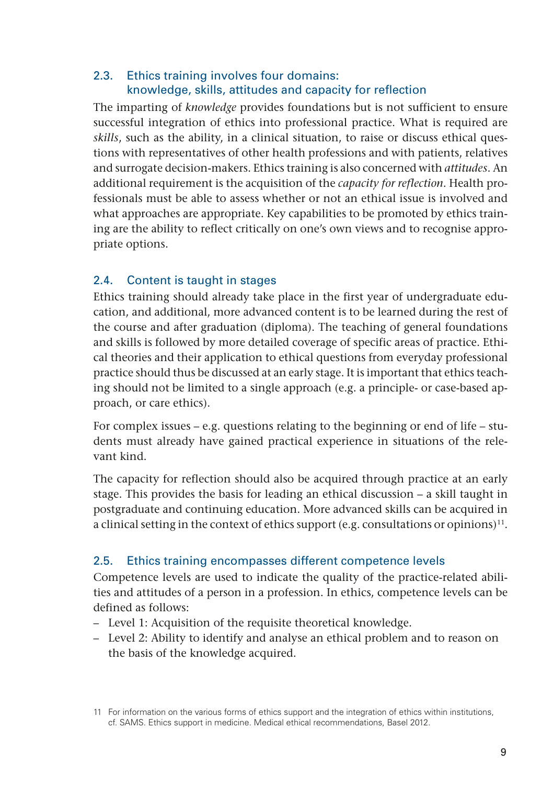# <span id="page-10-0"></span>2.3. Ethics training involves four domains: knowledge, skills, attitudes and capacity for reflection

The imparting of *knowledge* provides foundations but is not sufficient to ensure successful integration of ethics into professional practice. What is required are *skills*, such as the ability, in a clinical situation, to raise or discuss ethical questions with representatives of other health professions and with patients, relatives and surrogate decision-makers. Ethics training is also concerned with *attitudes*. An additional requirement is the acquisition of the *capacity for reflection*. Health professionals must be able to assess whether or not an ethical issue is involved and what approaches are appropriate. Key capabilities to be promoted by ethics training are the ability to reflect critically on one's own views and to recognise appropriate options.

### 2.4. Content is taught in stages

Ethics training should already take place in the first year of undergraduate education, and additional, more advanced content is to be learned during the rest of the course and after graduation (diploma). The teaching of general foundations and skills is followed by more detailed coverage of specific areas of practice. Ethical theories and their application to ethical questions from everyday professional practice should thus be discussed at an early stage. It is important that ethics teaching should not be limited to a single approach (e.g. a principle- or case-based approach, or care ethics).

For complex issues – e.g. questions relating to the beginning or end of life – students must already have gained practical experience in situations of the relevant kind.

The capacity for reflection should also be acquired through practice at an early stage. This provides the basis for leading an ethical discussion – a skill taught in postgraduate and continuing education. More advanced skills can be acquired in a clinical setting in the context of ethics support (e.g. consultations or opinions)<sup>11</sup>.

### 2.5. Ethics training encompasses different competence levels

Competence levels are used to indicate the quality of the practice-related abilities and attitudes of a person in a profession. In ethics, competence levels can be defined as follows:

- Level 1: Acquisition of the requisite theoretical knowledge.
- Level 2: Ability to identify and analyse an ethical problem and to reason on the basis of the knowledge acquired.

<sup>11</sup> For information on the various forms of ethics support and the integration of ethics within institutions, cf. SAMS. Ethics support in medicine. Medical ethical recommendations, Basel 2012.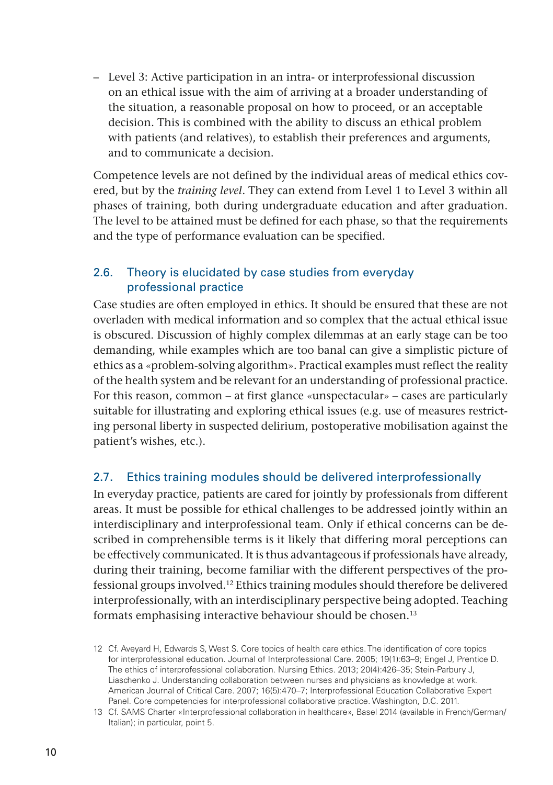<span id="page-11-0"></span>– Level 3: Active participation in an intra- or interprofessional discussion on an ethical issue with the aim of arriving at a broader understanding of the situation, a reasonable proposal on how to proceed, or an acceptable decision. This is combined with the ability to discuss an ethical problem with patients (and relatives), to establish their preferences and arguments, and to communicate a decision.

Competence levels are not defined by the individual areas of medical ethics covered, but by the *training level*. They can extend from Level 1 to Level 3 within all phases of training, both during undergraduate education and after graduation. The level to be attained must be defined for each phase, so that the requirements and the type of performance evaluation can be specified.

# 2.6. Theory is elucidated by case studies from everyday professional practice

Case studies are often employed in ethics. It should be ensured that these are not overladen with medical information and so complex that the actual ethical issue is obscured. Discussion of highly complex dilemmas at an early stage can be too demanding, while examples which are too banal can give a simplistic picture of ethics as a «problem-solving algorithm». Practical examples must reflect the reality of the health system and be relevant for an understanding of professional practice. For this reason, common – at first glance «unspectacular» – cases are particularly suitable for illustrating and exploring ethical issues (e.g. use of measures restricting personal liberty in suspected delirium, postoperative mobilisation against the patient's wishes, etc.).

### 2.7. Ethics training modules should be delivered interprofessionally

In everyday practice, patients are cared for jointly by professionals from different areas. It must be possible for ethical challenges to be addressed jointly within an interdisciplinary and interprofessional team. Only if ethical concerns can be described in comprehensible terms is it likely that differing moral perceptions can be effectively communicated. It is thus advantageous if professionals have already, during their training, become familiar with the different perspectives of the professional groups involved.12 Ethics training modules should therefore be delivered interprofessionally, with an interdisciplinary perspective being adopted. Teaching formats emphasising interactive behaviour should be chosen.<sup>13</sup>

<sup>12</sup> Cf. Aveyard H, Edwards S, West S. Core topics of health care ethics. The identification of core topics for interprofessional education. Journal of Interprofessional Care. 2005; 19(1):63–9; Engel J, Prentice D. The ethics of interprofessional collaboration. Nursing Ethics. 2013; 20(4):426–35; Stein-Parbury J, Liaschenko J. Understanding collaboration between nurses and physicians as knowledge at work. American Journal of Critical Care. 2007; 16(5):470–7; Interprofessional Education Collaborative Expert Panel. Core competencies for interprofessional collaborative practice. Washington, D.C. 2011.

<sup>13</sup> Cf. SAMS Charter «Interprofessional collaboration in healthcare», Basel 2014 (available in French/German/ Italian); in particular, point 5.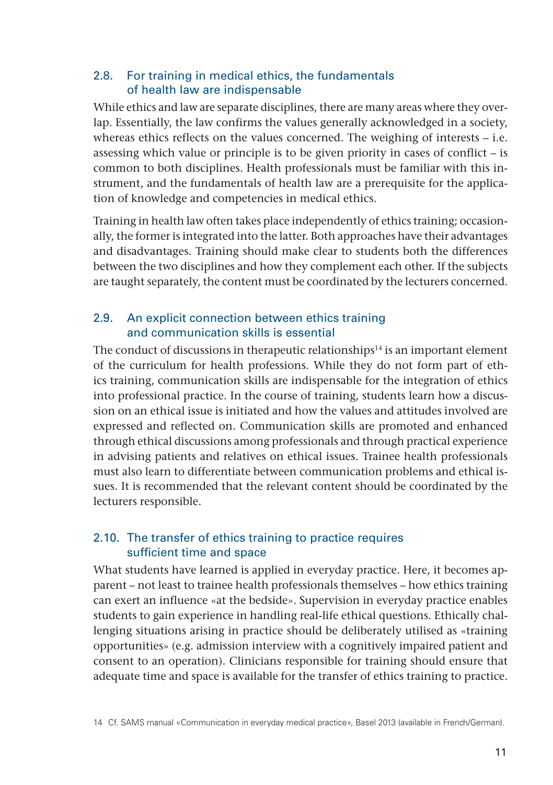#### <span id="page-12-0"></span>2.8. For training in medical ethics, the fundamentals of health law are indispensable

While ethics and law are separate disciplines, there are many areas where they overlap. Essentially, the law confirms the values generally acknowledged in a society, whereas ethics reflects on the values concerned. The weighing of interests – i.e. assessing which value or principle is to be given priority in cases of conflict – is common to both disciplines. Health professionals must be familiar with this instrument, and the fundamentals of health law are a prerequisite for the application of knowledge and competencies in medical ethics.

Training in health law often takes place independently of ethics training; occasionally, the former is integrated into the latter. Both approaches have their advantages and disadvantages. Training should make clear to students both the differences between the two disciplines and how they complement each other. If the subjects are taught separately, the content must be coordinated by the lecturers concerned.

# 2.9. An explicit connection between ethics training and communication skills is essential

The conduct of discussions in therapeutic relationships $14$  is an important element of the curriculum for health professions. While they do not form part of ethics training, communication skills are indispensable for the integration of ethics into professional practice. In the course of training, students learn how a discussion on an ethical issue is initiated and how the values and attitudes involved are expressed and reflected on. Communication skills are promoted and enhanced through ethical discussions among professionals and through practical experience in advising patients and relatives on ethical issues. Trainee health professionals must also learn to differentiate between communication problems and ethical issues. It is recommended that the relevant content should be coordinated by the lecturers responsible.

# 2.10. The transfer of ethics training to practice requires sufficient time and space

What students have learned is applied in everyday practice. Here, it becomes apparent – not least to trainee health professionals themselves – how ethics training can exert an influence «at the bedside». Supervision in everyday practice enables students to gain experience in handling real-life ethical questions. Ethically challenging situations arising in practice should be deliberately utilised as «training opportunities» (e.g. admission interview with a cognitively impaired patient and consent to an operation). Clinicians responsible for training should ensure that adequate time and space is available for the transfer of ethics training to practice.

<sup>14</sup> Cf. SAMS manual «Communication in everyday medical practice», Basel 2013 (available in French/German).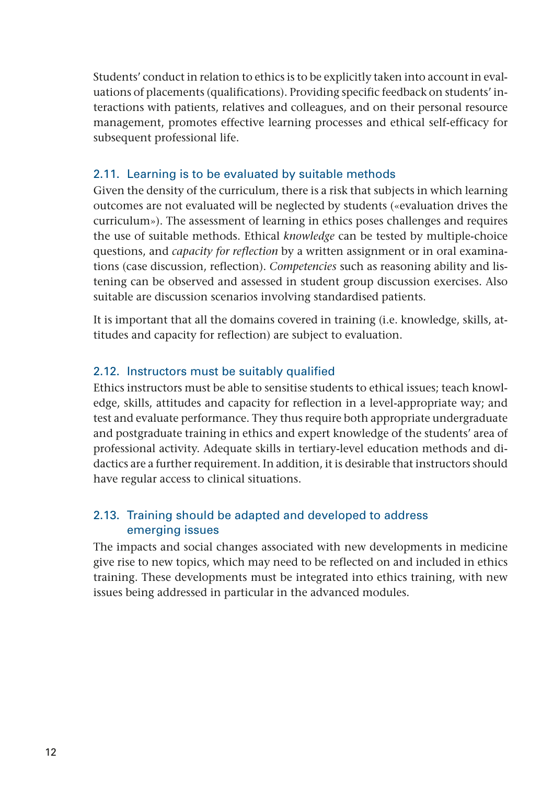<span id="page-13-0"></span>Students' conduct in relation to ethics is to be explicitly taken into account in evaluations of placements (qualifications). Providing specific feedback on students' interactions with patients, relatives and colleagues, and on their personal resource management, promotes effective learning processes and ethical self-efficacy for subsequent professional life.

# 2.11. Learning is to be evaluated by suitable methods

Given the density of the curriculum, there is a risk that subjects in which learning outcomes are not evaluated will be neglected by students («evaluation drives the curriculum»). The assessment of learning in ethics poses challenges and requires the use of suitable methods. Ethical *knowledge* can be tested by multiple-choice questions, and *capacity for reflection* by a written assignment or in oral examinations (case discussion, reflection). *Competencies* such as reasoning ability and listening can be observed and assessed in student group discussion exercises. Also suitable are discussion scenarios involving standardised patients.

It is important that all the domains covered in training (i.e. knowledge, skills, attitudes and capacity for reflection) are subject to evaluation.

### 2.12. Instructors must be suitably qualified

Ethics instructors must be able to sensitise students to ethical issues; teach knowledge, skills, attitudes and capacity for reflection in a level-appropriate way; and test and evaluate performance. They thus require both appropriate undergraduate and postgraduate training in ethics and expert knowledge of the students' area of professional activity. Adequate skills in tertiary-level education methods and didactics are a further requirement. In addition, it is desirable that instructors should have regular access to clinical situations.

### 2.13. Training should be adapted and developed to address emerging issues

The impacts and social changes associated with new developments in medicine give rise to new topics, which may need to be reflected on and included in ethics training. These developments must be integrated into ethics training, with new issues being addressed in particular in the advanced modules.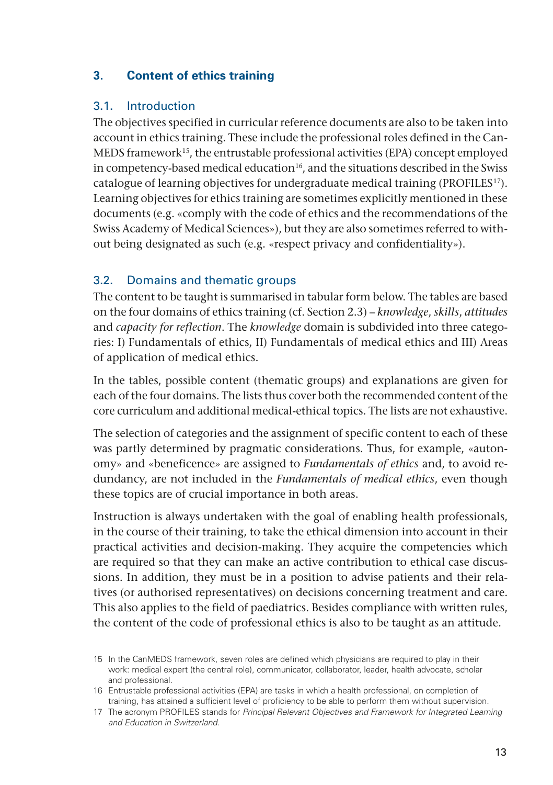# <span id="page-14-0"></span>**3. Content of ethics training**

#### 3.1. Introduction

The objectives specified in curricular reference documents are also to be taken into account in ethics training. These include the professional roles defined in the Can-MEDS framework<sup>15</sup>, the entrustable professional activities (EPA) concept employed in competency-based medical education<sup>16</sup>, and the situations described in the Swiss catalogue of learning objectives for undergraduate medical training (PROFILES<sup>17</sup>). Learning objectives for ethics training are sometimes explicitly mentioned in these documents (e.g. «comply with the code of ethics and the recommendations of the Swiss Academy of Medical Sciences»), but they are also sometimes referred to without being designated as such (e.g. «respect privacy and confidentiality»).

#### 3.2. Domains and thematic groups

The content to be taught is summarised in tabular form below. The tables are based on the four domains of ethics training (cf. Section 2.3) – *knowledge*, *skills*, *attitudes* and *capacity for reflection*. The *knowledge* domain is subdivided into three categories: I) Fundamentals of ethics, II) Fundamentals of medical ethics and III) Areas of application of medical ethics.

In the tables, possible content (thematic groups) and explanations are given for each of the four domains. The lists thus cover both the recommended content of the core curriculum and additional medical-ethical topics. The lists are not exhaustive.

The selection of categories and the assignment of specific content to each of these was partly determined by pragmatic considerations. Thus, for example, «autonomy» and «beneficence» are assigned to *Fundamentals of ethics* and, to avoid redundancy, are not included in the *Fundamentals of medical ethics*, even though these topics are of crucial importance in both areas.

Instruction is always undertaken with the goal of enabling health professionals, in the course of their training, to take the ethical dimension into account in their practical activities and decision-making. They acquire the competencies which are required so that they can make an active contribution to ethical case discussions. In addition, they must be in a position to advise patients and their relatives (or authorised representatives) on decisions concerning treatment and care. This also applies to the field of paediatrics. Besides compliance with written rules, the content of the code of professional ethics is also to be taught as an attitude.

<sup>15</sup> In the CanMEDS framework, seven roles are defined which physicians are required to play in their work: medical expert (the central role), communicator, collaborator, leader, health advocate, scholar and professional.

<sup>16</sup> Entrustable professional activities (EPA) are tasks in which a health professional, on completion of training, has attained a sufficient level of proficiency to be able to perform them without supervision.

<sup>17</sup> The acronym PROFILES stands for Principal Relevant Objectives and Framework for Integrated Learning and Education in Switzerland.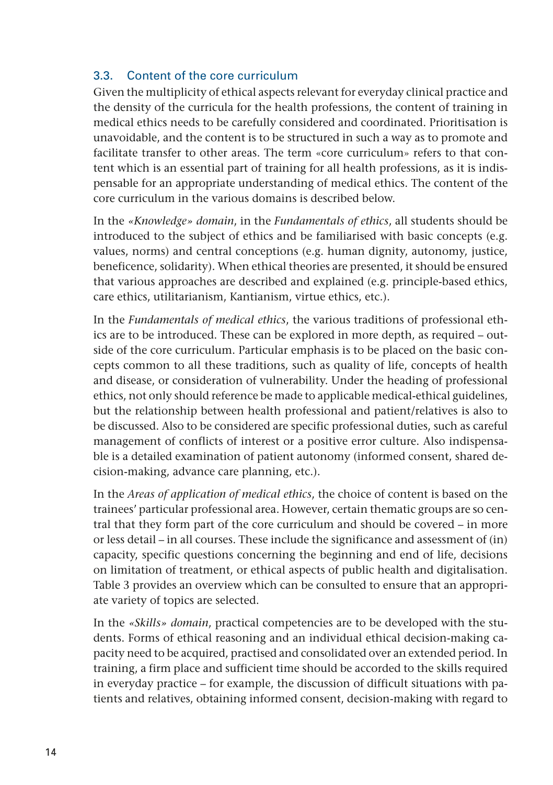# <span id="page-15-0"></span>3.3. Content of the core curriculum

Given the multiplicity of ethical aspects relevant for everyday clinical practice and the density of the curricula for the health professions, the content of training in medical ethics needs to be carefully considered and coordinated. Prioritisation is unavoidable, and the content is to be structured in such a way as to promote and facilitate transfer to other areas. The term «core curriculum» refers to that content which is an essential part of training for all health professions, as it is indispensable for an appropriate understanding of medical ethics. The content of the core curriculum in the various domains is described below.

In the *«Knowledge» domain*, in the *Fundamentals of ethics*, all students should be introduced to the subject of ethics and be familiarised with basic concepts (e.g. values, norms) and central conceptions (e.g. human dignity, autonomy, justice, beneficence, solidarity). When ethical theories are presented, it should be ensured that various approaches are described and explained (e.g. principle-based ethics, care ethics, utilitarianism, Kantianism, virtue ethics, etc.).

In the *Fundamentals of medical ethics*, the various traditions of professional ethics are to be introduced. These can be explored in more depth, as required – outside of the core curriculum. Particular emphasis is to be placed on the basic concepts common to all these traditions, such as quality of life, concepts of health and disease, or consideration of vulnerability. Under the heading of professional ethics, not only should reference be made to applicable medical-ethical guidelines, but the relationship between health professional and patient/relatives is also to be discussed. Also to be considered are specific professional duties, such as careful management of conflicts of interest or a positive error culture. Also indispensable is a detailed examination of patient autonomy (informed consent, shared decision-making, advance care planning, etc.).

In the *Areas of application of medical ethics*, the choice of content is based on the trainees' particular professional area. However, certain thematic groups are so central that they form part of the core curriculum and should be covered – in more or less detail – in all courses. These include the significance and assessment of (in) capacity, specific questions concerning the beginning and end of life, decisions on limitation of treatment, or ethical aspects of public health and digitalisation. Table 3 provides an overview which can be consulted to ensure that an appropriate variety of topics are selected.

In the *«Skills» domain*, practical competencies are to be developed with the students. Forms of ethical reasoning and an individual ethical decision-making capacity need to be acquired, practised and consolidated over an extended period. In training, a firm place and sufficient time should be accorded to the skills required in everyday practice – for example, the discussion of difficult situations with patients and relatives, obtaining informed consent, decision-making with regard to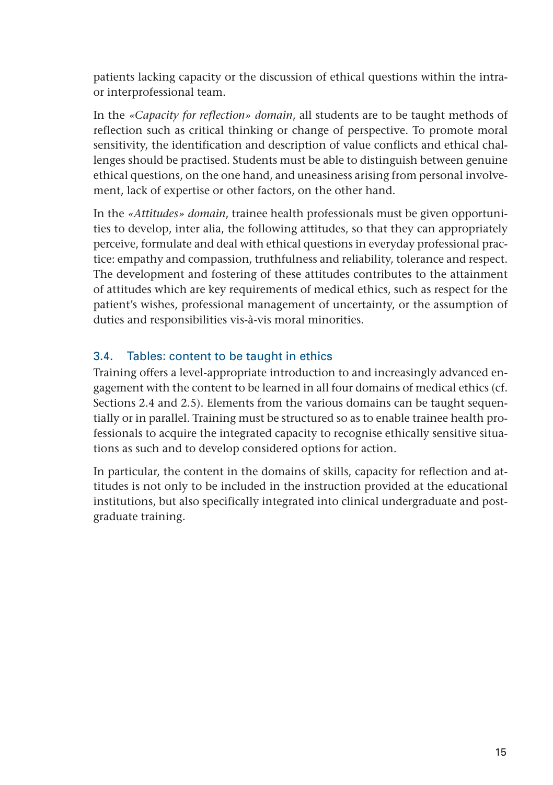<span id="page-16-0"></span>patients lacking capacity or the discussion of ethical questions within the intraor interprofessional team.

In the *«Capacity for reflection» domain*, all students are to be taught methods of reflection such as critical thinking or change of perspective. To promote moral sensitivity, the identification and description of value conflicts and ethical challenges should be practised. Students must be able to distinguish between genuine ethical questions, on the one hand, and uneasiness arising from personal involvement, lack of expertise or other factors, on the other hand.

In the *«Attitudes» domain*, trainee health professionals must be given opportunities to develop, inter alia, the following attitudes, so that they can appropriately perceive, formulate and deal with ethical questions in everyday professional practice: empathy and compassion, truthfulness and reliability, tolerance and respect. The development and fostering of these attitudes contributes to the attainment of attitudes which are key requirements of medical ethics, such as respect for the patient's wishes, professional management of uncertainty, or the assumption of duties and responsibilities vis-à-vis moral minorities.

# 3.4. Tables: content to be taught in ethics

Training offers a level-appropriate introduction to and increasingly advanced engagement with the content to be learned in all four domains of medical ethics (cf. Sections 2.4 and 2.5). Elements from the various domains can be taught sequentially or in parallel. Training must be structured so as to enable trainee health professionals to acquire the integrated capacity to recognise ethically sensitive situations as such and to develop considered options for action.

In particular, the content in the domains of skills, capacity for reflection and attitudes is not only to be included in the instruction provided at the educational institutions, but also specifically integrated into clinical undergraduate and postgraduate training.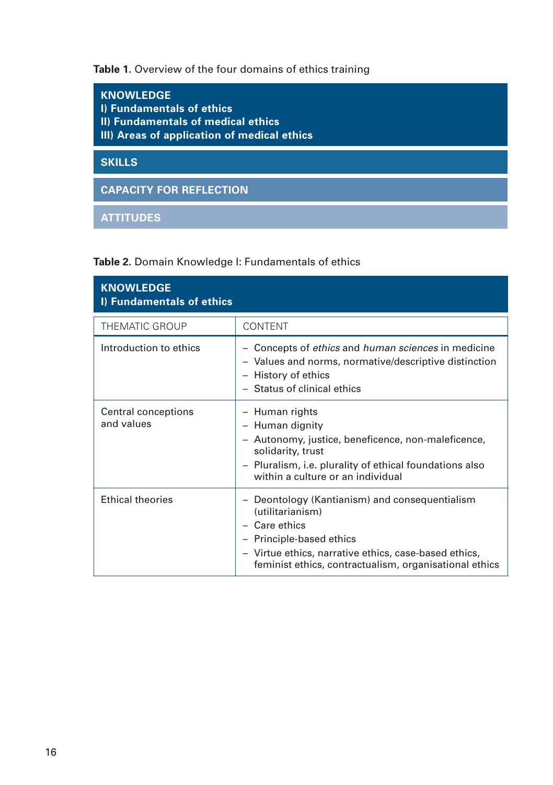Table 1. Overview of the four domains of ethics training

| <b>KNOWLEDGE</b><br>I) Fundamentals of ethics<br>II) Fundamentals of medical ethics<br>III) Areas of application of medical ethics |
|------------------------------------------------------------------------------------------------------------------------------------|
| <b>SKILLS</b>                                                                                                                      |
| <b>CAPACITY FOR REFLECTION</b>                                                                                                     |
| <b>ATTITUDES</b>                                                                                                                   |

| Table 2. Domain Knowledge I: Fundamentals of ethics |  |
|-----------------------------------------------------|--|
|-----------------------------------------------------|--|

| <b>KNOWLEDGE</b><br>I) Fundamentals of ethics |                                                                                                                                                                                                                                    |  |
|-----------------------------------------------|------------------------------------------------------------------------------------------------------------------------------------------------------------------------------------------------------------------------------------|--|
| <b>THEMATIC GROUP</b>                         | <b>CONTENT</b>                                                                                                                                                                                                                     |  |
| Introduction to ethics                        | Concepts of ethics and human sciences in medicine<br>$\overline{\phantom{m}}$<br>- Values and norms, normative/descriptive distinction<br>- History of ethics<br>- Status of clinical ethics                                       |  |
| Central conceptions<br>and values             | - Human rights<br>- Human dignity<br>- Autonomy, justice, beneficence, non-maleficence,<br>solidarity, trust<br>- Pluralism, i.e. plurality of ethical foundations also<br>within a culture or an individual                       |  |
| <b>Ethical theories</b>                       | - Deontology (Kantianism) and consequentialism<br>(utilitarianism)<br>- Care ethics<br>- Principle-based ethics<br>- Virtue ethics, narrative ethics, case-based ethics,<br>feminist ethics, contractualism, organisational ethics |  |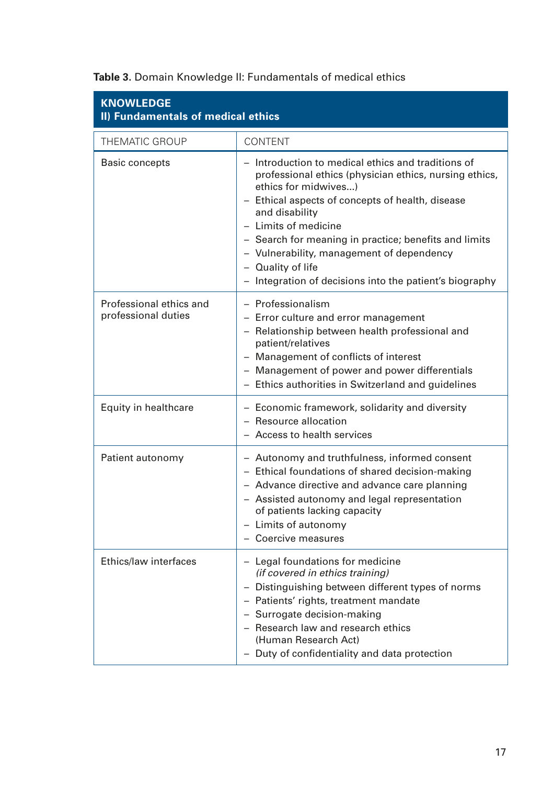| <b>KNOWLEDGE</b><br>II) Fundamentals of medical ethics |                                                                                                                                                                                                                                                                                                                                                                                                                          |  |
|--------------------------------------------------------|--------------------------------------------------------------------------------------------------------------------------------------------------------------------------------------------------------------------------------------------------------------------------------------------------------------------------------------------------------------------------------------------------------------------------|--|
| THEMATIC GROUP                                         | CONTENT                                                                                                                                                                                                                                                                                                                                                                                                                  |  |
| <b>Basic concepts</b>                                  | - Introduction to medical ethics and traditions of<br>professional ethics (physician ethics, nursing ethics,<br>ethics for midwives)<br>- Ethical aspects of concepts of health, disease<br>and disability<br>- Limits of medicine<br>- Search for meaning in practice; benefits and limits<br>- Vulnerability, management of dependency<br>- Quality of life<br>- Integration of decisions into the patient's biography |  |
| Professional ethics and<br>professional duties         | - Professionalism<br>- Error culture and error management<br>- Relationship between health professional and<br>patient/relatives<br>- Management of conflicts of interest<br>- Management of power and power differentials<br>- Ethics authorities in Switzerland and guidelines                                                                                                                                         |  |
| Equity in healthcare                                   | - Economic framework, solidarity and diversity<br>- Resource allocation<br>- Access to health services                                                                                                                                                                                                                                                                                                                   |  |
| Patient autonomy                                       | - Autonomy and truthfulness, informed consent<br>- Ethical foundations of shared decision-making<br>- Advance directive and advance care planning<br>- Assisted autonomy and legal representation<br>of patients lacking capacity<br>- Limits of autonomy<br>- Coercive measures                                                                                                                                         |  |
| Ethics/law interfaces                                  | - Legal foundations for medicine<br>(if covered in ethics training)<br>- Distinguishing between different types of norms<br>- Patients' rights, treatment mandate<br>- Surrogate decision-making<br>- Research law and research ethics<br>(Human Research Act)<br>- Duty of confidentiality and data protection                                                                                                          |  |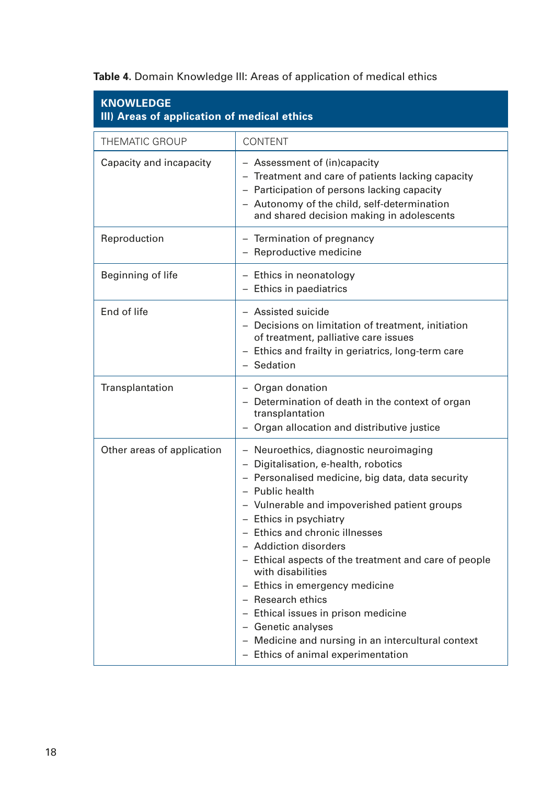**Table 4.** Domain Knowledge III: Areas of application of medical ethics

| <b>KNOWLEDGE</b><br>III) Areas of application of medical ethics |                                                                                                                                                                                                                                                                                                                                                                                                                                                                                                                                                                                          |  |
|-----------------------------------------------------------------|------------------------------------------------------------------------------------------------------------------------------------------------------------------------------------------------------------------------------------------------------------------------------------------------------------------------------------------------------------------------------------------------------------------------------------------------------------------------------------------------------------------------------------------------------------------------------------------|--|
| THEMATIC GROUP                                                  | CONTENT                                                                                                                                                                                                                                                                                                                                                                                                                                                                                                                                                                                  |  |
| Capacity and incapacity                                         | - Assessment of (in)capacity<br>- Treatment and care of patients lacking capacity<br>- Participation of persons lacking capacity<br>- Autonomy of the child, self-determination<br>and shared decision making in adolescents                                                                                                                                                                                                                                                                                                                                                             |  |
| Reproduction                                                    | - Termination of pregnancy<br>- Reproductive medicine                                                                                                                                                                                                                                                                                                                                                                                                                                                                                                                                    |  |
| Beginning of life                                               | - Ethics in neonatology<br>- Ethics in paediatrics                                                                                                                                                                                                                                                                                                                                                                                                                                                                                                                                       |  |
| End of life                                                     | - Assisted suicide<br>- Decisions on limitation of treatment, initiation<br>of treatment, palliative care issues<br>- Ethics and frailty in geriatrics, long-term care<br>- Sedation                                                                                                                                                                                                                                                                                                                                                                                                     |  |
| Transplantation                                                 | - Organ donation<br>- Determination of death in the context of organ<br>transplantation<br>- Organ allocation and distributive justice                                                                                                                                                                                                                                                                                                                                                                                                                                                   |  |
| Other areas of application                                      | - Neuroethics, diagnostic neuroimaging<br>- Digitalisation, e-health, robotics<br>- Personalised medicine, big data, data security<br>- Public health<br>- Vulnerable and impoverished patient groups<br>- Ethics in psychiatry<br>- Ethics and chronic illnesses<br>- Addiction disorders<br>- Ethical aspects of the treatment and care of people<br>with disabilities<br>- Ethics in emergency medicine<br>- Research ethics<br>- Ethical issues in prison medicine<br>- Genetic analyses<br>- Medicine and nursing in an intercultural context<br>- Ethics of animal experimentation |  |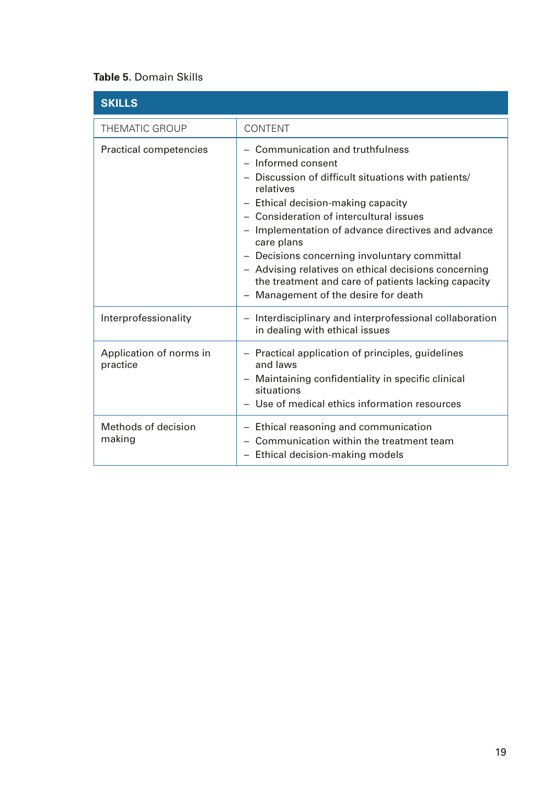#### **Table 5.** Domain Skills

| <b>SKILLS</b>                       |                                                                                                                                                                                                                                                                                                                                                                                                                                                                                                                                     |
|-------------------------------------|-------------------------------------------------------------------------------------------------------------------------------------------------------------------------------------------------------------------------------------------------------------------------------------------------------------------------------------------------------------------------------------------------------------------------------------------------------------------------------------------------------------------------------------|
| <b>THEMATIC GROUP</b>               | <b>CONTENT</b>                                                                                                                                                                                                                                                                                                                                                                                                                                                                                                                      |
| Practical competencies              | Communication and truthfulness<br>$\qquad \qquad -$<br>$-$ Informed consent<br>Discussion of difficult situations with patients/<br>relatives<br>- Ethical decision-making capacity<br>- Consideration of intercultural issues<br>- Implementation of advance directives and advance<br>care plans<br>- Decisions concerning involuntary committal<br>- Advising relatives on ethical decisions concerning<br>the treatment and care of patients lacking capacity<br>Management of the desire for death<br>$\overline{\phantom{m}}$ |
| Interprofessionality                | - Interdisciplinary and interprofessional collaboration<br>in dealing with ethical issues                                                                                                                                                                                                                                                                                                                                                                                                                                           |
| Application of norms in<br>practice | - Practical application of principles, guidelines<br>and laws<br>- Maintaining confidentiality in specific clinical<br>situations<br>- Use of medical ethics information resources                                                                                                                                                                                                                                                                                                                                                  |
| Methods of decision<br>making       | - Ethical reasoning and communication<br>- Communication within the treatment team<br>- Ethical decision-making models                                                                                                                                                                                                                                                                                                                                                                                                              |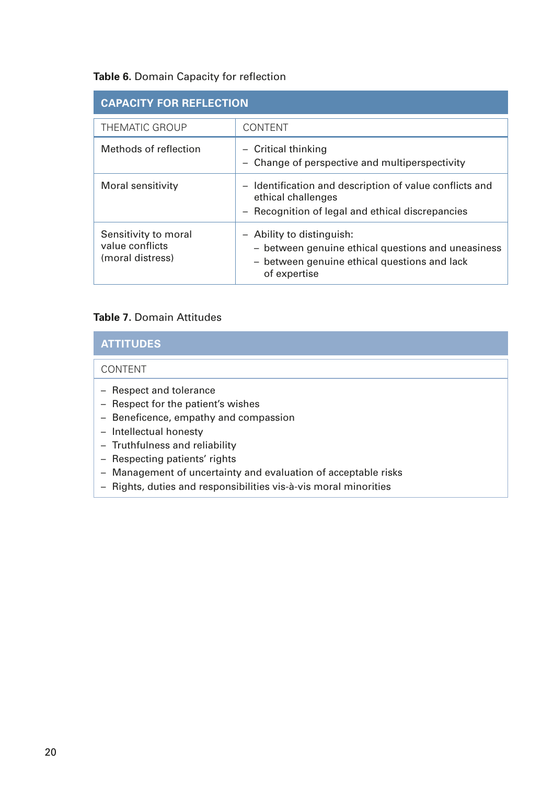#### **Table 6.** Domain Capacity for reflection

| <b>CAPACITY FOR REFLECTION</b>                              |                                                                                                                                                 |  |
|-------------------------------------------------------------|-------------------------------------------------------------------------------------------------------------------------------------------------|--|
| THEMATIC GROUP                                              | <b>CONTENT</b>                                                                                                                                  |  |
| Methods of reflection                                       | - Critical thinking<br>- Change of perspective and multiperspectivity                                                                           |  |
| Moral sensitivity                                           | - Identification and description of value conflicts and<br>ethical challenges<br>- Recognition of legal and ethical discrepancies               |  |
| Sensitivity to moral<br>value conflicts<br>(moral distress) | - Ability to distinguish:<br>- between genuine ethical questions and uneasiness<br>- between genuine ethical questions and lack<br>of expertise |  |

#### **Table 7.** Domain Attitudes

#### **ATTITUDES**

#### CONTENT

- Respect and tolerance
- Respect for the patient's wishes
- Beneficence, empathy and compassion
- Intellectual honesty
- Truthfulness and reliability
- Respecting patients' rights
- Management of uncertainty and evaluation of acceptable risks
- Rights, duties and responsibilities vis-à-vis moral minorities